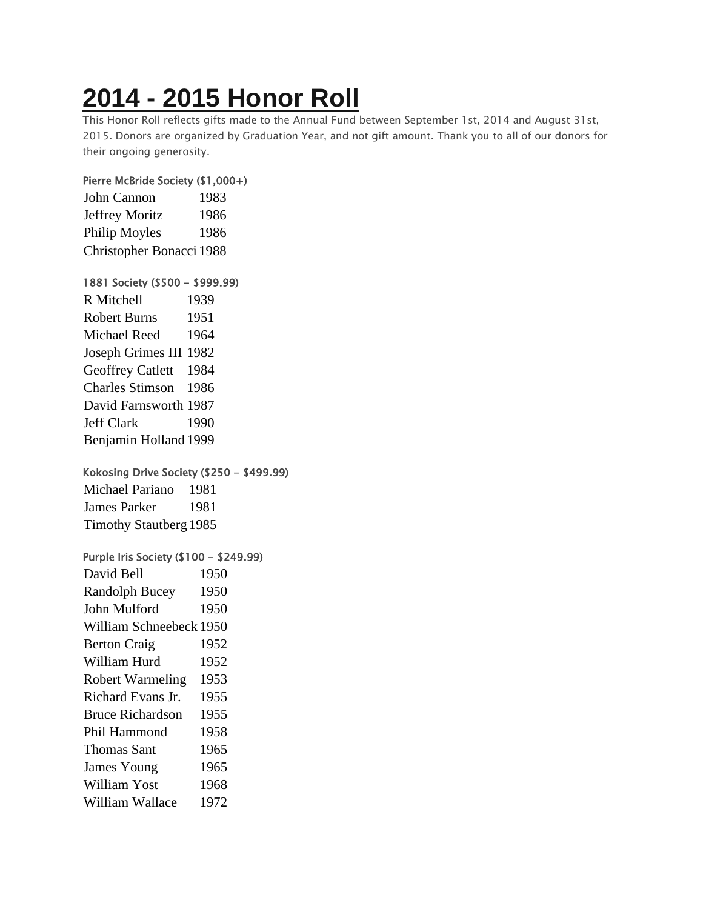# **2014 - 2015 [Honor](https://chidelts.2stayconnected.com/index.php?option=com_content&view=article&id=389:2014-2015-honor-roll&catid=42&Itemid=624) Roll**

This Honor Roll reflects gifts made to the Annual Fund between September 1st, 2014 and August 31st, 2015. Donors are organized by Graduation Year, and not gift amount. Thank you to all of our donors for their ongoing generosity.

### Pierre McBride Society (\$1,000+)

| John Cannon              | 1983 |
|--------------------------|------|
| Jeffrey Moritz           | 1986 |
| Philip Moyles            | 1986 |
| Christopher Bonacci 1988 |      |

### 1881 Society (\$500 - \$999.99)

| R Mitchell              | 1939 |
|-------------------------|------|
| <b>Robert Burns</b>     | 1951 |
| <b>Michael Reed</b>     | 1964 |
| Joseph Grimes III 1982  |      |
| <b>Geoffrey Catlett</b> | 1984 |
| Charles Stimson 1986    |      |
| David Farnsworth 1987   |      |
| <b>Jeff Clark</b>       | 1990 |
| Benjamin Holland 1999   |      |

### Kokosing Drive Society (\$250 - \$499.99)

Michael Pariano 1981 James Parker 1981 Timothy Stautberg 1985

## Purple Iris Society (\$100 - \$249.99)

| David Bell              | 1950 |
|-------------------------|------|
| <b>Randolph Bucey</b>   | 1950 |
| John Mulford            | 1950 |
| William Schneebeck 1950 |      |
| <b>Berton Craig</b>     | 1952 |
| William Hurd            | 1952 |
| <b>Robert Warmeling</b> | 1953 |
| Richard Evans Jr.       | 1955 |
| <b>Bruce Richardson</b> | 1955 |
| Phil Hammond            | 1958 |
| <b>Thomas Sant</b>      | 1965 |
| James Young             | 1965 |
| <b>William Yost</b>     | 1968 |
| William Wallace         | 1972 |